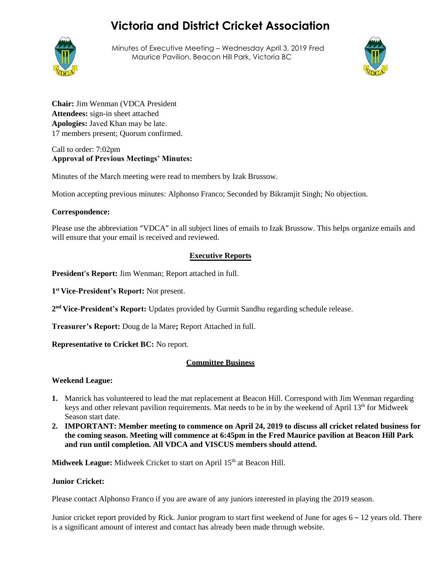

Minutes of Executive Meeting – Wednesday April 3, 2019 Fred Maurice Pavilion, Beacon Hill Park, Victoria BC



**Chair:** Jim Wenman (VDCA President **Attendees:** sign-in sheet attached **Apologies:** Javed Khan may be late. 17 members present; Quorum confirmed.

# Call to order: 7:02pm **Approval of Previous Meetings' Minutes:**

Minutes of the March meeting were read to members by Izak Brussow.

Motion accepting previous minutes: Alphonso Franco; Seconded by Bikramjit Singh; No objection.

# **Correspondence:**

Please use the abbreviation "VDCA" in all subject lines of emails to Izak Brussow. This helps organize emails and will ensure that your email is received and reviewed.

# **Executive Reports**

**President's Report:** Jim Wenman; Report attached in full.

**1 st Vice-President's Report:** Not present.

**2 nd Vice-President's Report:** Updates provided by Gurmit Sandhu regarding schedule release.

**Treasurer's Report:** Doug de la Mare**;** Report Attached in full.

**Representative to Cricket BC:** No report.

# **Committee Business**

# **Weekend League:**

- **1.** Manrick has volunteered to lead the mat replacement at Beacon Hill. Correspond with Jim Wenman regarding keys and other relevant pavilion requirements. Mat needs to be in by the weekend of April 13<sup>th</sup> for Midweek Season start date.
- **2. IMPORTANT: Member meeting to commence on April 24, 2019 to discuss all cricket related business for the coming season. Meeting will commence at 6:45pm in the Fred Maurice pavilion at Beacon Hill Park and run until completion. All VDCA and VISCUS members should attend.**

**Midweek League:** Midweek Cricket to start on April 15<sup>th</sup> at Beacon Hill.

# **Junior Cricket:**

Please contact Alphonso Franco if you are aware of any juniors interested in playing the 2019 season.

Junior cricket report provided by Rick. Junior program to start first weekend of June for ages 6 – 12 years old. There is a significant amount of interest and contact has already been made through website.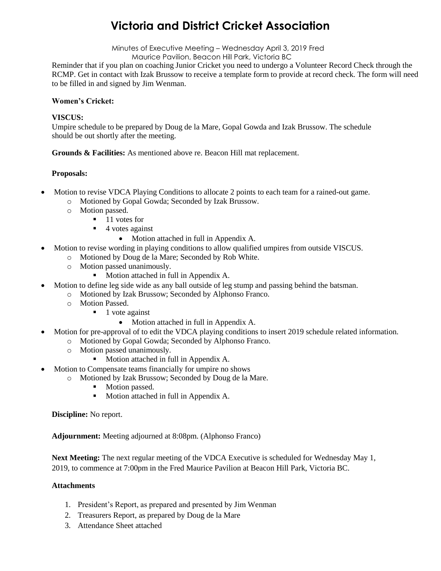Minutes of Executive Meeting – Wednesday April 3, 2019 Fred Maurice Pavilion, Beacon Hill Park, Victoria BC

Reminder that if you plan on coaching Junior Cricket you need to undergo a Volunteer Record Check through the RCMP. Get in contact with Izak Brussow to receive a template form to provide at record check. The form will need to be filled in and signed by Jim Wenman.

#### **Women's Cricket:**

#### **VISCUS:**

Umpire schedule to be prepared by Doug de la Mare, Gopal Gowda and Izak Brussow. The schedule should be out shortly after the meeting.

**Grounds & Facilities:** As mentioned above re. Beacon Hill mat replacement.

#### **Proposals:**

- Motion to revise VDCA Playing Conditions to allocate 2 points to each team for a rained-out game.
	- o Motioned by Gopal Gowda; Seconded by Izak Brussow.
		- o Motion passed.
			- 11 votes for
			- 4 votes against
				- Motion attached in full in Appendix A.
- Motion to revise wording in playing conditions to allow qualified umpires from outside VISCUS.
	- o Motioned by Doug de la Mare; Seconded by Rob White.
	- o Motion passed unanimously.
		- Motion attached in full in Appendix A.
- Motion to define leg side wide as any ball outside of leg stump and passing behind the batsman.
	- o Motioned by Izak Brussow; Seconded by Alphonso Franco.
		- o Motion Passed.
			- $\blacksquare$  1 vote against
				- Motion attached in full in Appendix A.
- Motion for pre-approval of to edit the VDCA playing conditions to insert 2019 schedule related information. o Motioned by Gopal Gowda; Seconded by Alphonso Franco.
	- o Motion passed unanimously.
		- Motion attached in full in Appendix A.
- Motion to Compensate teams financially for umpire no shows
	- o Motioned by Izak Brussow; Seconded by Doug de la Mare.
		- Motion passed.
		- Motion attached in full in Appendix A.

**Discipline:** No report.

**Adjournment:** Meeting adjourned at 8:08pm. (Alphonso Franco)

**Next Meeting:** The next regular meeting of the VDCA Executive is scheduled for Wednesday May 1, 2019, to commence at 7:00pm in the Fred Maurice Pavilion at Beacon Hill Park, Victoria BC.

#### **Attachments**

- 1. President's Report, as prepared and presented by Jim Wenman
- 2. Treasurers Report, as prepared by Doug de la Mare
- 3. Attendance Sheet attached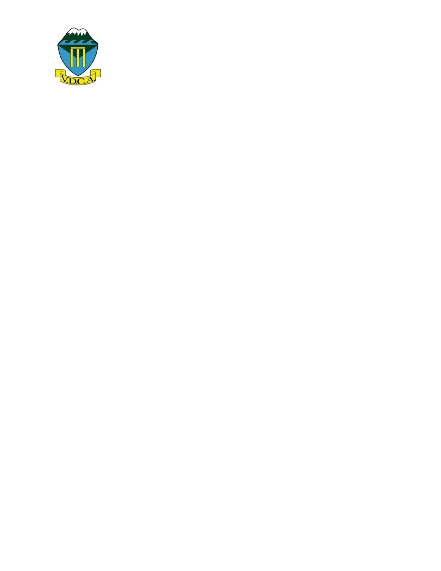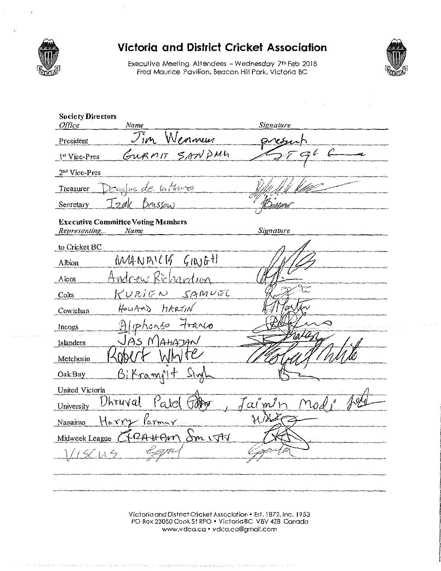



Executive Meeting Attendees - Wednesday 7th Feb 2018<br>Fred Maurice Pavilion, Beacon Hill Park, Victoria BC

| <b>Society Directors</b><br><i><b>Office</b></i><br>Name          | Signature                              |
|-------------------------------------------------------------------|----------------------------------------|
| Tim Wenneur<br>President                                          |                                        |
| GURMIT SANDMU<br><sup>1st</sup> Vice-Pres                         | $G4 \in$                               |
| 2 <sup>nd</sup> Vice-Pres                                         |                                        |
| Donglas de la Marie<br>Treasurer                                  |                                        |
| Izak Brusson<br>Secretary                                         |                                        |
| <b>Executive Committee Voting Members</b><br>Representing<br>Name | Signature                              |
| to Cricket BC                                                     |                                        |
| MANRICK EINGT<br>Albion                                           |                                        |
| Andrew Richardson<br>Alcos                                        |                                        |
| KURIEN SAMUEL<br>Colts                                            |                                        |
| HOWARD MARTIN<br>Cowichan                                         |                                        |
| Alphonso Franco<br>Incogs                                         |                                        |
| JAS NAHAJAN<br>Islanders                                          |                                        |
| Metchosin                                                         |                                        |
| Bikrampit<br><u>لہوا کے</u><br>Oak Bay                            |                                        |
| United Victoria                                                   |                                        |
| Patel<br>Uhruval<br>University                                    | $\mathbf{J}$<br>$J$ aí m $^{\prime}$ n |
| Harry Parmar<br>Nanaimo                                           |                                        |
| Midweek League CFRHOM Sm 157                                      |                                        |
| 5C125                                                             |                                        |
|                                                                   |                                        |

Victoria and District Cricket Association . Est. 1872, Inc. 1953 PO Box 23050 Cook St RPO . Victoria BC: V8V 478 Canada www.vdca.ca · vdca.ca@gmail.com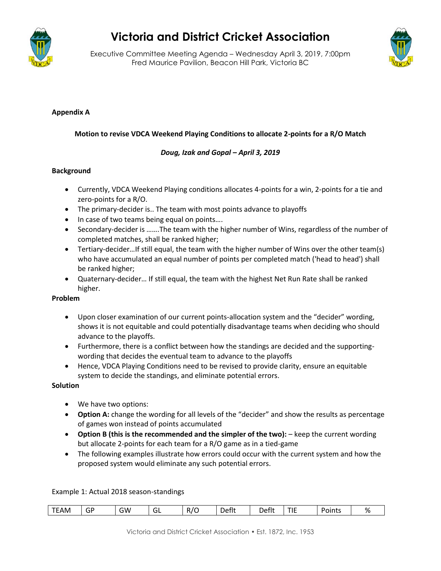



Executive Committee Meeting Agenda – Wednesday April 3, 2019, 7:00pm Fred Maurice Pavilion, Beacon Hill Park, Victoria BC

# **Appendix A**

# **Motion to revise VDCA Weekend Playing Conditions to allocate 2-points for a R/O Match**

# *Doug, Izak and Gopal – April 3, 2019*

#### **Background**

- Currently, VDCA Weekend Playing conditions allocates 4-points for a win, 2-points for a tie and zero-points for a R/O.
- The primary-decider is.. The team with most points advance to playoffs
- In case of two teams being equal on points....
- Secondary-decider is …….The team with the higher number of Wins, regardless of the number of completed matches, shall be ranked higher;
- Tertiary-decider…If still equal, the team with the higher number of Wins over the other team(s) who have accumulated an equal number of points per completed match ('head to head') shall be ranked higher;
- Quaternary-decider… If still equal, the team with the highest Net Run Rate shall be ranked higher.

#### **Problem**

- Upon closer examination of our current points-allocation system and the "decider" wording, shows it is not equitable and could potentially disadvantage teams when deciding who should advance to the playoffs.
- Furthermore, there is a conflict between how the standings are decided and the supportingwording that decides the eventual team to advance to the playoffs
- Hence, VDCA Playing Conditions need to be revised to provide clarity, ensure an equitable system to decide the standings, and eliminate potential errors.

#### **Solution**

- We have two options:
- **Option A:** change the wording for all levels of the "decider" and show the results as percentage of games won instead of points accumulated
- **Option B (this is the recommended and the simpler of the two):** keep the current wording but allocate 2-points for each team for a R/O game as in a tied-game
- The following examples illustrate how errors could occur with the current system and how the proposed system would eliminate any such potential errors.

Example 1: Actual 2018 season-standings

| $- -$<br>AM. | GP | GW | $\sim$<br>UL. | R/C | Deflt | Deflt | TIE | unto<br>$\mathbf{a}$<br>טוווט | $\alpha$<br>7 U |
|--------------|----|----|---------------|-----|-------|-------|-----|-------------------------------|-----------------|
|              |    |    |               |     |       |       |     |                               |                 |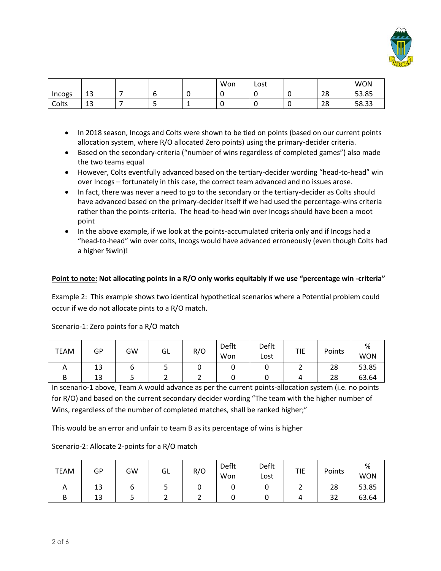

|        |               |  |   | Won | Lost |          | <b>WON</b> |
|--------|---------------|--|---|-----|------|----------|------------|
| Incogs | $\sim$<br>ᅩ   |  |   | v   | u    | ിറ<br>20 | 53.85      |
| Colts  | $\sim$<br>ر 1 |  | - | ັ   | ν    | ിറ<br>20 | 58.33      |

- In 2018 season, Incogs and Colts were shown to be tied on points (based on our current points allocation system, where R/O allocated Zero points) using the primary-decider criteria.
- Based on the secondary-criteria ("number of wins regardless of completed games") also made the two teams equal
- However, Colts eventfully advanced based on the tertiary-decider wording "head-to-head" win over Incogs – fortunately in this case, the correct team advanced and no issues arose.
- In fact, there was never a need to go to the secondary or the tertiary-decider as Colts should have advanced based on the primary-decider itself if we had used the percentage-wins criteria rather than the points-criteria. The head-to-head win over Incogs should have been a moot point
- In the above example, if we look at the points-accumulated criteria only and if Incogs had a "head-to-head" win over colts, Incogs would have advanced erroneously (even though Colts had a higher %win)!

#### **Point to note: Not allocating points in a R/O only works equitably if we use "percentage win -criteria"**

Example 2: This example shows two identical hypothetical scenarios where a Potential problem could occur if we do not allocate pints to a R/O match.

| <b>TEAM</b> | GP       | GW | GL | R/O | Deflt<br>Won | Deflt<br>Lost | TIE | Points | %<br><b>WON</b> |
|-------------|----------|----|----|-----|--------------|---------------|-----|--------|-----------------|
| n.          | າາ<br>IJ |    |    |     |              |               |     | 28     | 53.85           |
| В           | 13       | ے  |    |     |              |               | 4   | 28     | 63.64           |

Scenario-1: Zero points for a R/O match

In scenario-1 above, Team A would advance as per the current points-allocation system (i.e. no points for R/O) and based on the current secondary decider wording "The team with the higher number of Wins, regardless of the number of completed matches, shall be ranked higher;"

This would be an error and unfair to team B as its percentage of wins is higher

| <b>TEAM</b> | GР | GW | GL | R/O | Deflt<br>Won | Deflt<br>Lost | TIE | Points | %<br><b>WON</b> |
|-------------|----|----|----|-----|--------------|---------------|-----|--------|-----------------|
| A           | 13 | ີ  |    |     |              |               |     | 28     | 53.85           |
| D           | 13 | ے  | ∸  |     |              |               |     | 32     | 63.64           |

Scenario-2: Allocate 2-points for a R/O match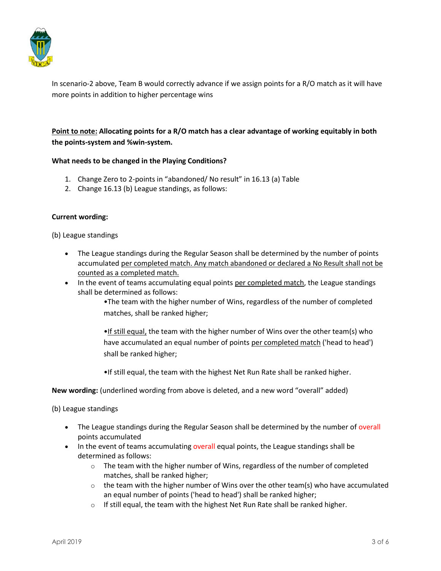

In scenario-2 above, Team B would correctly advance if we assign points for a R/O match as it will have more points in addition to higher percentage wins

# **Point to note: Allocating points for a R/O match has a clear advantage of working equitably in both the points-system and %win-system.**

#### **What needs to be changed in the Playing Conditions?**

- 1. Change Zero to 2-points in "abandoned/ No result" in 16.13 (a) Table
- 2. Change 16.13 (b) League standings, as follows:

#### **Current wording:**

(b) League standings

- The League standings during the Regular Season shall be determined by the number of points accumulated per completed match. Any match abandoned or declared a No Result shall not be counted as a completed match.
- In the event of teams accumulating equal points per completed match, the League standings shall be determined as follows:

•The team with the higher number of Wins, regardless of the number of completed matches, shall be ranked higher;

•If still equal, the team with the higher number of Wins over the other team(s) who have accumulated an equal number of points per completed match ('head to head') shall be ranked higher;

•If still equal, the team with the highest Net Run Rate shall be ranked higher.

**New wording:** (underlined wording from above is deleted, and a new word "overall" added)

(b) League standings

- The League standings during the Regular Season shall be determined by the number of overall points accumulated
- In the event of teams accumulating overall equal points, the League standings shall be determined as follows:
	- $\circ$  The team with the higher number of Wins, regardless of the number of completed matches, shall be ranked higher;
	- $\circ$  the team with the higher number of Wins over the other team(s) who have accumulated an equal number of points ('head to head') shall be ranked higher;
	- $\circ$  If still equal, the team with the highest Net Run Rate shall be ranked higher.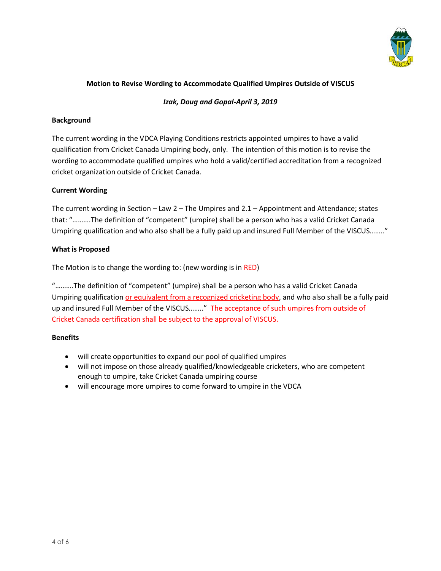

### **Motion to Revise Wording to Accommodate Qualified Umpires Outside of VISCUS**

*Izak, Doug and Gopal-April 3, 2019*

#### **Background**

The current wording in the VDCA Playing Conditions restricts appointed umpires to have a valid qualification from Cricket Canada Umpiring body, only. The intention of this motion is to revise the wording to accommodate qualified umpires who hold a valid/certified accreditation from a recognized cricket organization outside of Cricket Canada.

#### **Current Wording**

The current wording in Section – Law 2 – The Umpires and 2.1 – Appointment and Attendance; states that: "……….The definition of "competent" (umpire) shall be a person who has a valid Cricket Canada Umpiring qualification and who also shall be a fully paid up and insured Full Member of the VISCUS…….."

#### **What is Proposed**

The Motion is to change the wording to: (new wording is in RED)

"……….The definition of "competent" (umpire) shall be a person who has a valid Cricket Canada Umpiring qualification or equivalent from a recognized cricketing body, and who also shall be a fully paid up and insured Full Member of the VISCUS…….." The acceptance of such umpires from outside of Cricket Canada certification shall be subject to the approval of VISCUS.

#### **Benefits**

- will create opportunities to expand our pool of qualified umpires
- will not impose on those already qualified/knowledgeable cricketers, who are competent enough to umpire, take Cricket Canada umpiring course
- will encourage more umpires to come forward to umpire in the VDCA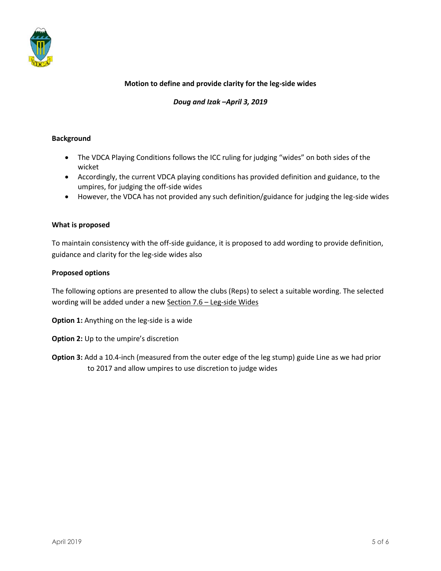

# **Motion to define and provide clarity for the leg-side wides**

#### *Doug and Izak –April 3, 2019*

#### **Background**

- The VDCA Playing Conditions follows the ICC ruling for judging "wides" on both sides of the wicket
- Accordingly, the current VDCA playing conditions has provided definition and guidance, to the umpires, for judging the off-side wides
- However, the VDCA has not provided any such definition/guidance for judging the leg-side wides

#### **What is proposed**

To maintain consistency with the off-side guidance, it is proposed to add wording to provide definition, guidance and clarity for the leg-side wides also

#### **Proposed options**

The following options are presented to allow the clubs (Reps) to select a suitable wording. The selected wording will be added under a new Section 7.6 – Leg-side Wides

**Option 1:** Anything on the leg-side is a wide

**Option 2:** Up to the umpire's discretion

**Option 3:** Add a 10.4-inch (measured from the outer edge of the leg stump) guide Line as we had prior to 2017 and allow umpires to use discretion to judge wides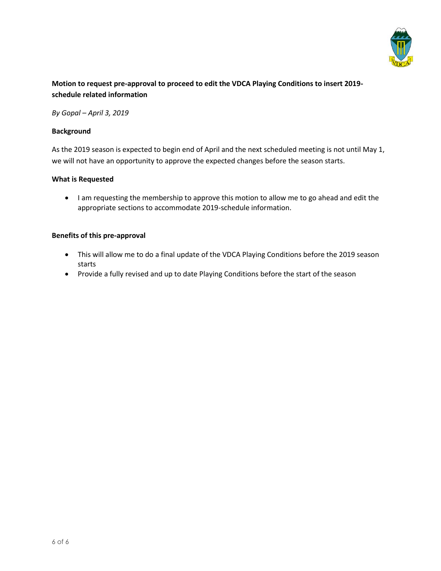

# **Motion to request pre-approval to proceed to edit the VDCA Playing Conditions to insert 2019 schedule related information**

*By Gopal – April 3, 2019*

#### **Background**

As the 2019 season is expected to begin end of April and the next scheduled meeting is not until May 1, we will not have an opportunity to approve the expected changes before the season starts.

#### **What is Requested**

• I am requesting the membership to approve this motion to allow me to go ahead and edit the appropriate sections to accommodate 2019-schedule information.

#### **Benefits of this pre-approval**

- This will allow me to do a final update of the VDCA Playing Conditions before the 2019 season starts
- Provide a fully revised and up to date Playing Conditions before the start of the season